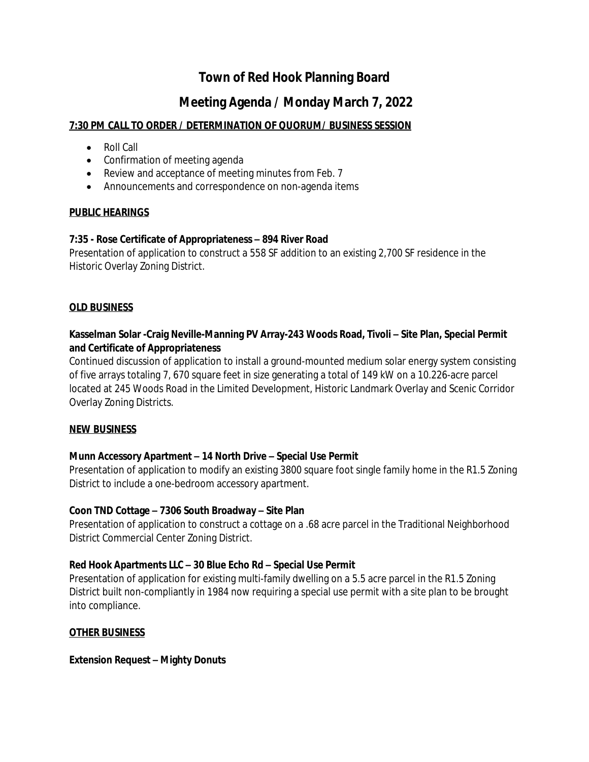# **Town of Red Hook Planning Board**

## **Meeting Agenda / Monday March 7, 2022**

## **7:30 PM CALL TO ORDER / DETERMINATION OF QUORUM/ BUSINESS SESSION**

- Roll Call
- Confirmation of meeting agenda
- Review and acceptance of meeting minutes from Feb. 7
- Announcements and correspondence on non-agenda items

### **PUBLIC HEARINGS**

### **7:35 - Rose Certificate of Appropriateness – 894 River Road**

Presentation of application to construct a 558 SF addition to an existing 2,700 SF residence in the Historic Overlay Zoning District.

#### **OLD BUSINESS**

## **Kasselman Solar -Craig Neville-Manning PV Array-243 Woods Road, Tivoli – Site Plan, Special Permit and Certificate of Appropriateness**

Continued discussion of application to install a ground-mounted medium solar energy system consisting of five arrays totaling 7, 670 square feet in size generating a total of 149 kW on a 10.226-acre parcel located at 245 Woods Road in the Limited Development, Historic Landmark Overlay and Scenic Corridor Overlay Zoning Districts.

### **NEW BUSINESS**

### **Munn Accessory Apartment – 14 North Drive – Special Use Permit**

Presentation of application to modify an existing 3800 square foot single family home in the R1.5 Zoning District to include a one-bedroom accessory apartment.

### **Coon TND Cottage – 7306 South Broadway – Site Plan**

Presentation of application to construct a cottage on a .68 acre parcel in the Traditional Neighborhood District Commercial Center Zoning District.

### **Red Hook Apartments LLC – 30 Blue Echo Rd – Special Use Permit**

Presentation of application for existing multi-family dwelling on a 5.5 acre parcel in the R1.5 Zoning District built non-compliantly in 1984 now requiring a special use permit with a site plan to be brought into compliance.

### **OTHER BUSINESS**

#### **Extension Request – Mighty Donuts**